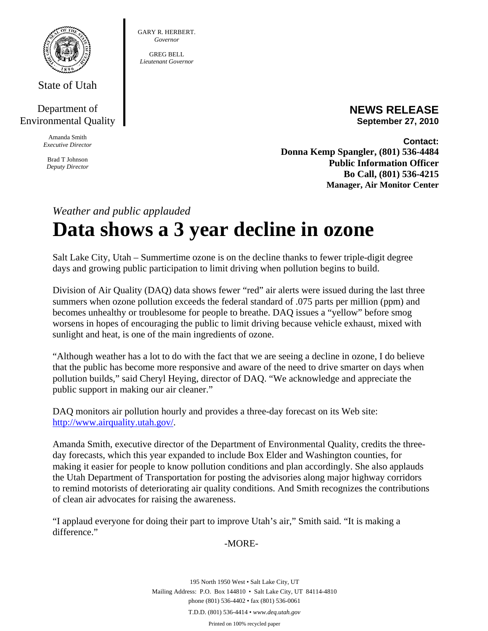

State of Utah

## Department of Environmental Quality

Amanda Smith *Executive Director* 

Brad T Johnson *Deputy Director*  GARY R. HERBERT. *Governor* 

GREG BELL *Lieutenant Governor* 

> **NEWS RELEASE September 27, 2010**

**Contact: Donna Kemp Spangler, (801) 536-4484 Public Information Officer Bo Call, (801) 536-4215 Manager, Air Monitor Center**

## *Weather and public applauded*  **Data shows a 3 year decline in ozone**

Salt Lake City, Utah – Summertime ozone is on the decline thanks to fewer triple-digit degree days and growing public participation to limit driving when pollution begins to build.

Division of Air Quality (DAQ) data shows fewer "red" air alerts were issued during the last three summers when ozone pollution exceeds the federal standard of .075 parts per million (ppm) and becomes unhealthy or troublesome for people to breathe. DAQ issues a "yellow" before smog worsens in hopes of encouraging the public to limit driving because vehicle exhaust, mixed with sunlight and heat, is one of the main ingredients of ozone.

"Although weather has a lot to do with the fact that we are seeing a decline in ozone, I do believe that the public has become more responsive and aware of the need to drive smarter on days when pollution builds," said Cheryl Heying, director of DAQ. "We acknowledge and appreciate the public support in making our air cleaner."

DAQ monitors air pollution hourly and provides a three-day forecast on its Web site: http://www.airquality.utah.gov/.

Amanda Smith, executive director of the Department of Environmental Quality, credits the threeday forecasts, which this year expanded to include Box Elder and Washington counties, for making it easier for people to know pollution conditions and plan accordingly. She also applauds the Utah Department of Transportation for posting the advisories along major highway corridors to remind motorists of deteriorating air quality conditions. And Smith recognizes the contributions of clean air advocates for raising the awareness.

"I applaud everyone for doing their part to improve Utah's air," Smith said. "It is making a difference."

## -MORE-

195 North 1950 West • Salt Lake City, UT Mailing Address: P.O. Box 144810 • Salt Lake City, UT 84114-4810 phone (801) 536-4402 • fax (801) 536-0061 T.D.D. (801) 536-4414 • *www.deq.utah.gov*  Printed on 100% recycled paper